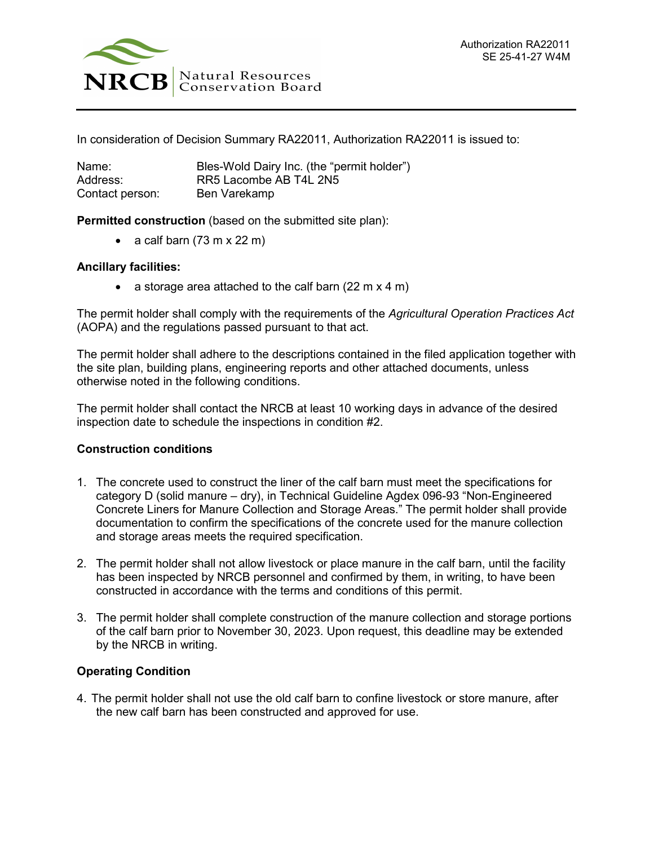

In consideration of Decision Summary RA22011, Authorization RA22011 is issued to:

| Name:           | Bles-Wold Dairy Inc. (the "permit holder") |
|-----------------|--------------------------------------------|
| Address:        | RR5 Lacombe AB T4L 2N5                     |
| Contact person: | Ben Varekamp                               |

**Permitted construction** (based on the submitted site plan):

• a calf barn  $(73 \text{ m} \times 22 \text{ m})$ 

## **Ancillary facilities:**

• a storage area attached to the calf barn  $(22 \text{ m} \times 4 \text{ m})$ 

The permit holder shall comply with the requirements of the *Agricultural Operation Practices Act* (AOPA) and the regulations passed pursuant to that act.

The permit holder shall adhere to the descriptions contained in the filed application together with the site plan, building plans, engineering reports and other attached documents, unless otherwise noted in the following conditions.

The permit holder shall contact the NRCB at least 10 working days in advance of the desired inspection date to schedule the inspections in condition #2.

## **Construction conditions**

- 1. The concrete used to construct the liner of the calf barn must meet the specifications for category D (solid manure – dry), in Technical Guideline Agdex 096-93 "Non-Engineered Concrete Liners for Manure Collection and Storage Areas." The permit holder shall provide documentation to confirm the specifications of the concrete used for the manure collection and storage areas meets the required specification.
- 2. The permit holder shall not allow livestock or place manure in the calf barn, until the facility has been inspected by NRCB personnel and confirmed by them, in writing, to have been constructed in accordance with the terms and conditions of this permit.
- 3. The permit holder shall complete construction of the manure collection and storage portions of the calf barn prior to November 30, 2023. Upon request, this deadline may be extended by the NRCB in writing.

## **Operating Condition**

4. The permit holder shall not use the old calf barn to confine livestock or store manure, after the new calf barn has been constructed and approved for use.